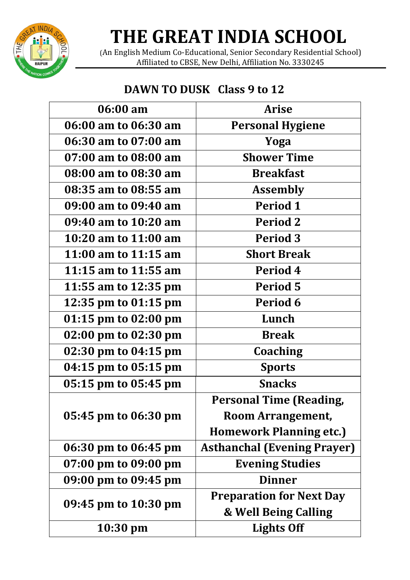

## **THE GREAT INDIA SCHOOL**

(An English Medium Co-Educational, Senior Secondary Residential School) Affiliated to CBSE, New Delhi, Affiliation No. 3330245

### **DAWN TO DUSK Class 9 to 12**

| 06:00 am             | <b>Arise</b>                       |
|----------------------|------------------------------------|
| 06:00 am to 06:30 am | <b>Personal Hygiene</b>            |
| 06:30 am to 07:00 am | Yoga                               |
| 07:00 am to 08:00 am | <b>Shower Time</b>                 |
| 08:00 am to 08:30 am | <b>Breakfast</b>                   |
| 08:35 am to 08:55 am | <b>Assembly</b>                    |
| 09:00 am to 09:40 am | Period 1                           |
| 09:40 am to 10:20 am | Period 2                           |
| 10:20 am to 11:00 am | <b>Period 3</b>                    |
| 11:00 am to 11:15 am | <b>Short Break</b>                 |
| 11:15 am to 11:55 am | Period 4                           |
| 11:55 am to 12:35 pm | Period 5                           |
| 12:35 pm to 01:15 pm | Period 6                           |
| 01:15 pm to 02:00 pm | Lunch                              |
| 02:00 pm to 02:30 pm | <b>Break</b>                       |
| 02:30 pm to 04:15 pm | Coaching                           |
| 04:15 pm to 05:15 pm | <b>Sports</b>                      |
| 05:15 pm to 05:45 pm | <b>Snacks</b>                      |
|                      | <b>Personal Time (Reading,</b>     |
| 05:45 pm to 06:30 pm | Room Arrangement,                  |
|                      | <b>Homework Planning etc.)</b>     |
| 06:30 pm to 06:45 pm | <b>Asthanchal (Evening Prayer)</b> |
| 07:00 pm to 09:00 pm | <b>Evening Studies</b>             |
| 09:00 pm to 09:45 pm | <b>Dinner</b>                      |
| 09:45 pm to 10:30 pm | <b>Preparation for Next Day</b>    |
|                      | & Well Being Calling               |
| $10:30 \text{ pm}$   | <b>Lights Off</b>                  |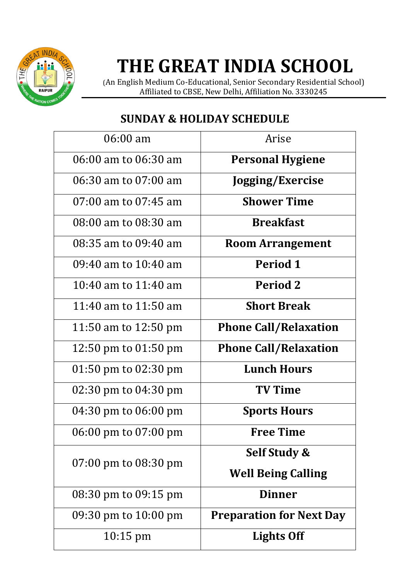

# **THE GREAT INDIA SCHOOL**

(An English Medium Co-Educational, Senior Secondary Residential School) Affiliated to CBSE, New Delhi, Affiliation No. 3330245

### **SUNDAY & HOLIDAY SCHEDULE**

| $06:00 \text{ am}$                       | Arise                           |
|------------------------------------------|---------------------------------|
| 06:00 am to 06:30 am                     | <b>Personal Hygiene</b>         |
| 06:30 am to 07:00 am                     | Jogging/Exercise                |
| $07:00$ am to $07:45$ am                 | <b>Shower Time</b>              |
| 08:00 am to 08:30 am                     | <b>Breakfast</b>                |
| 08:35 am to 09:40 am                     | <b>Room Arrangement</b>         |
| $09:40$ am to $10:40$ am                 | <b>Period 1</b>                 |
| 10:40 am to $11:40$ am                   | <b>Period 2</b>                 |
| 11:40 am to $11:50$ am                   | <b>Short Break</b>              |
| 11:50 am to 12:50 pm                     | <b>Phone Call/Relaxation</b>    |
| 12:50 pm to $01:50$ pm                   | <b>Phone Call/Relaxation</b>    |
| $01:50 \text{ pm}$ to $02:30 \text{ pm}$ | <b>Lunch Hours</b>              |
| 02:30 pm to $04:30$ pm                   | <b>TV Time</b>                  |
| 04:30 pm to 06:00 pm                     | <b>Sports Hours</b>             |
| 06:00 pm to 07:00 pm                     | <b>Free Time</b>                |
| $07:00 \text{ pm}$ to $08:30 \text{ pm}$ | Self Study &                    |
|                                          | <b>Well Being Calling</b>       |
| 08:30 pm to 09:15 pm                     | <b>Dinner</b>                   |
| 09:30 pm to $10:00$ pm                   | <b>Preparation for Next Day</b> |
| $10:15 \text{ pm}$                       | <b>Lights Off</b>               |